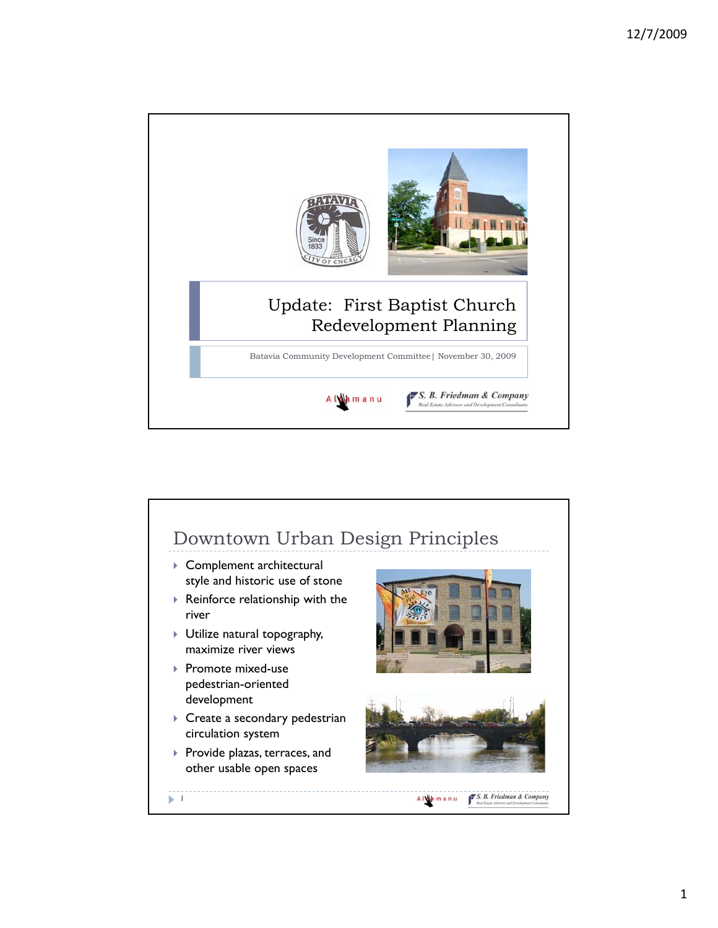

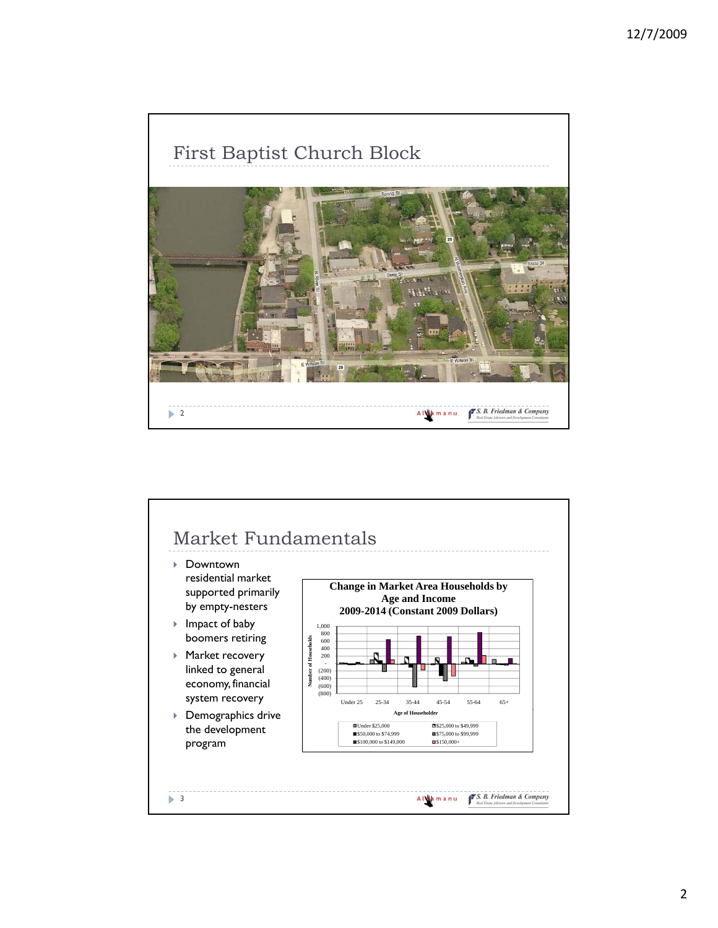

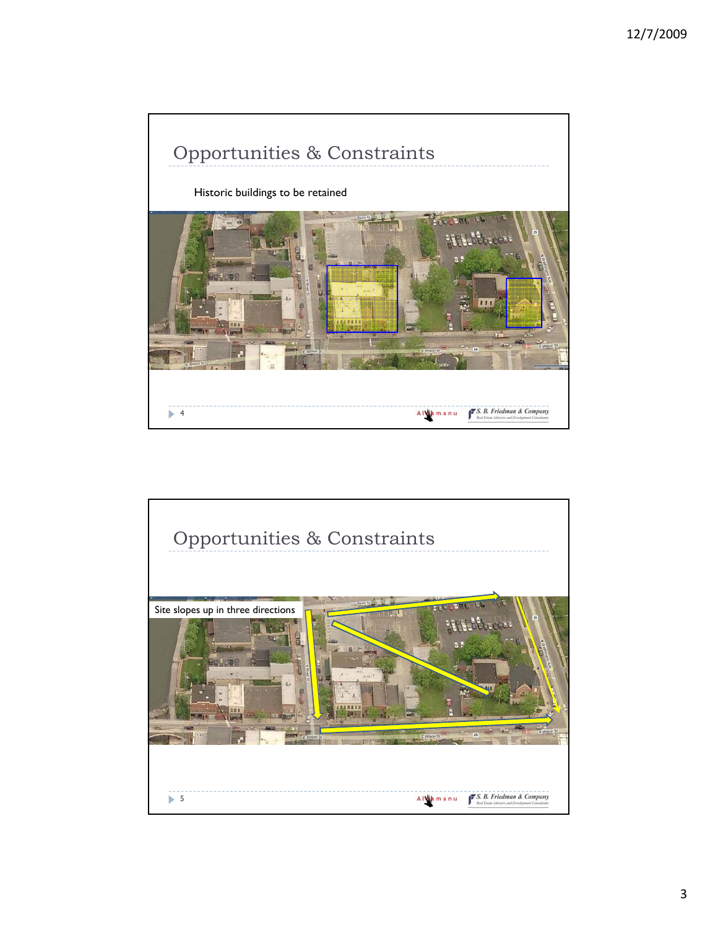

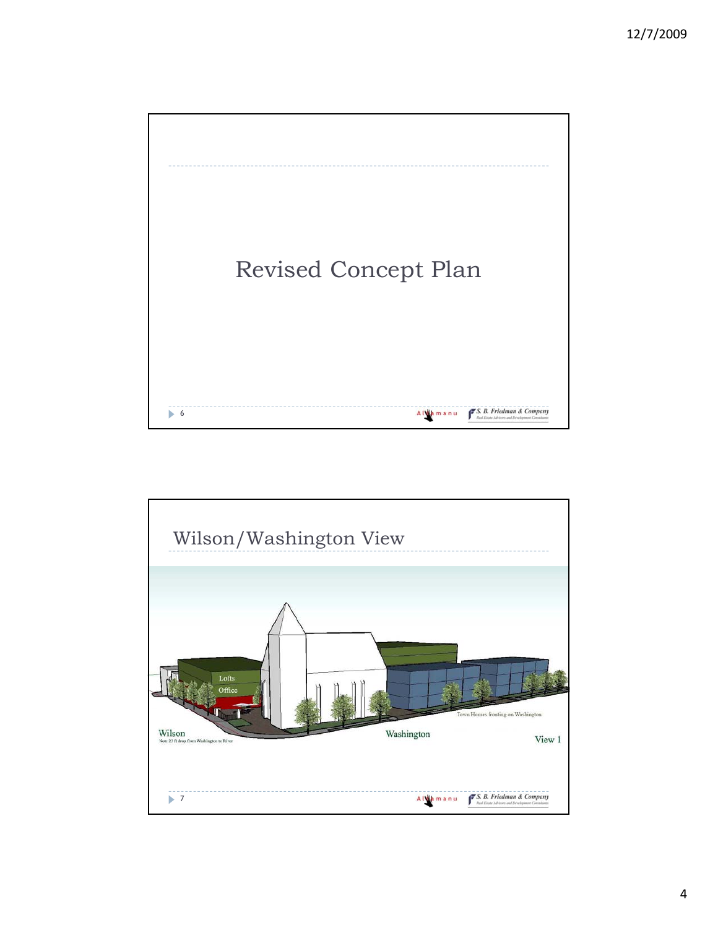

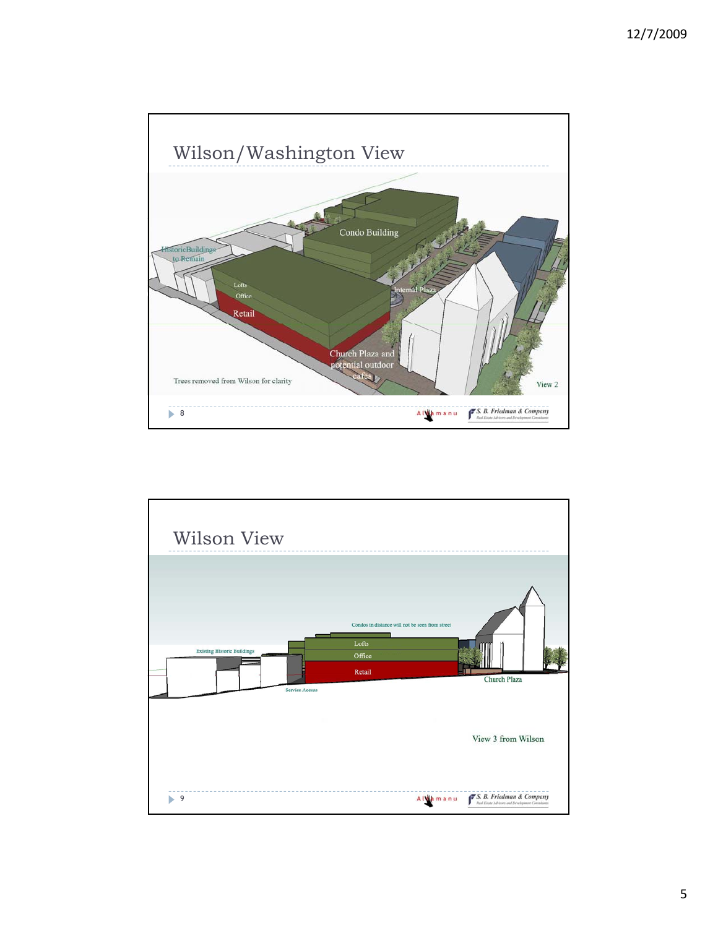

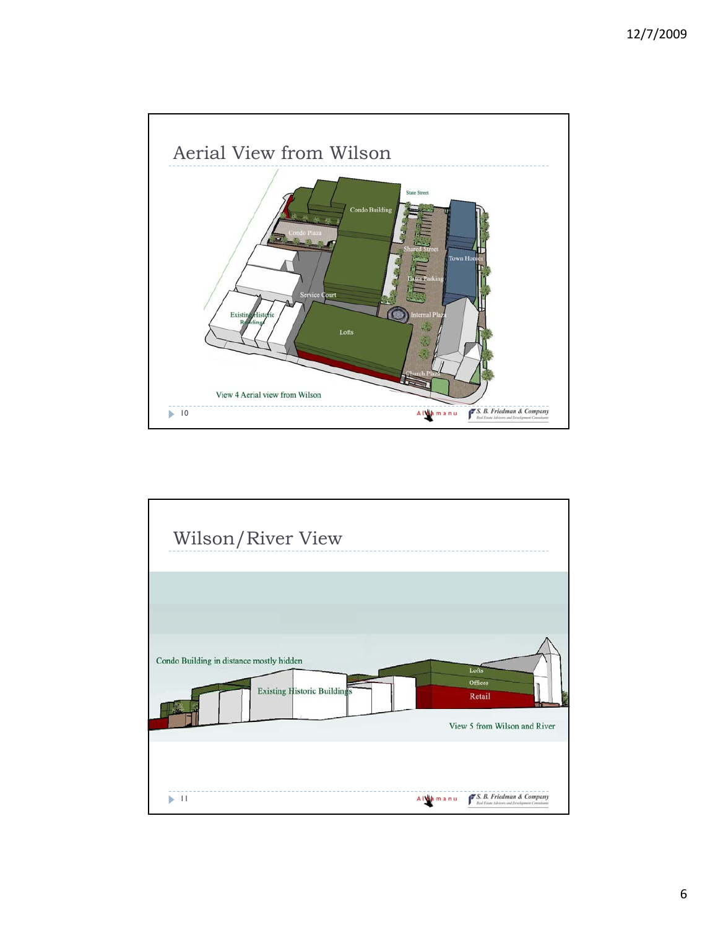

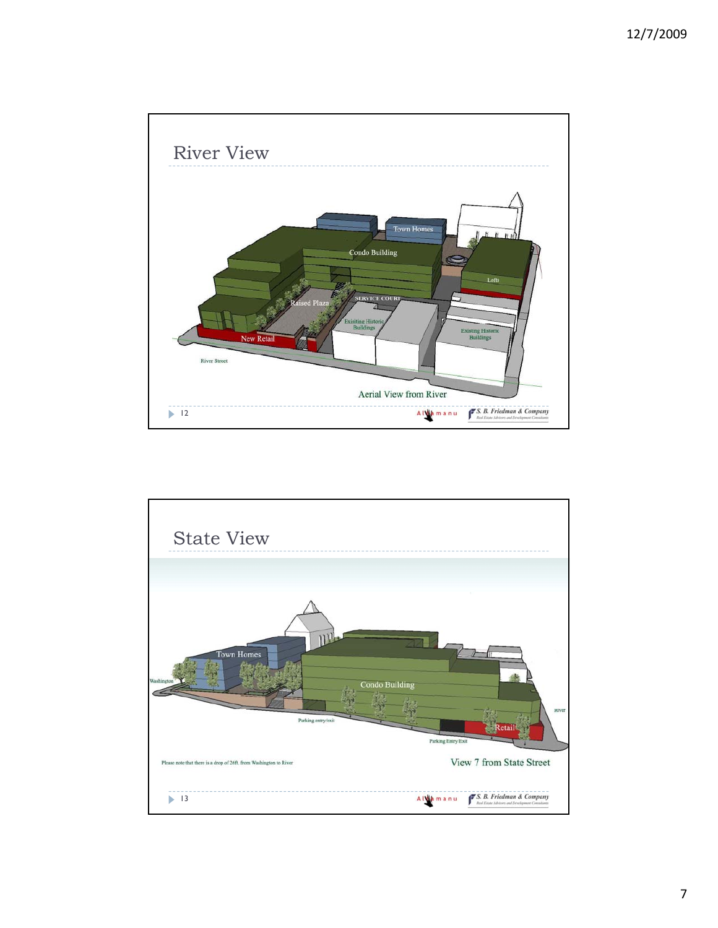

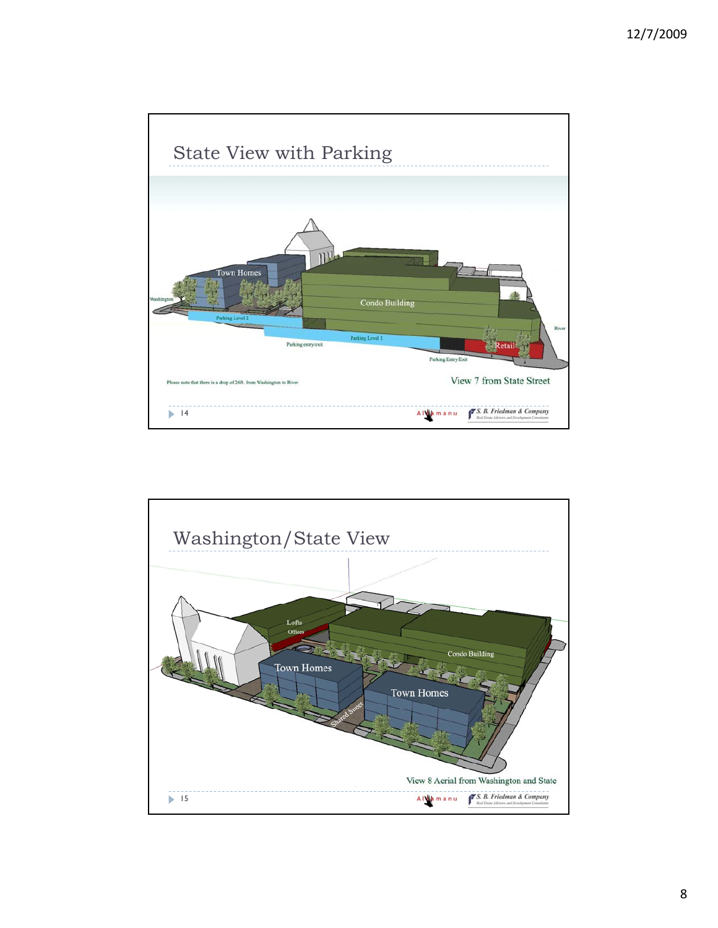

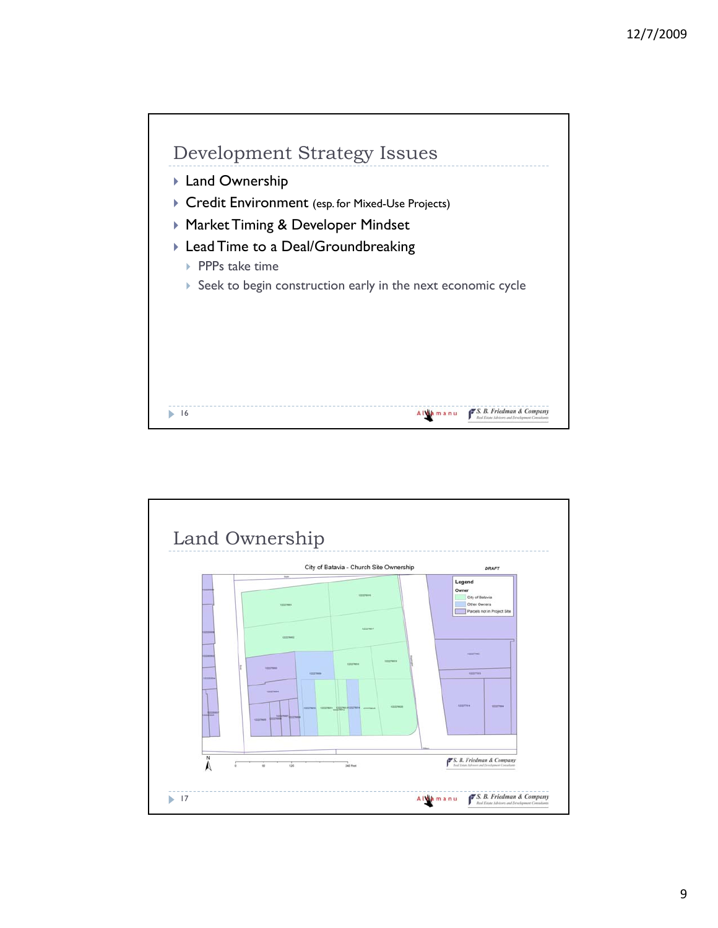